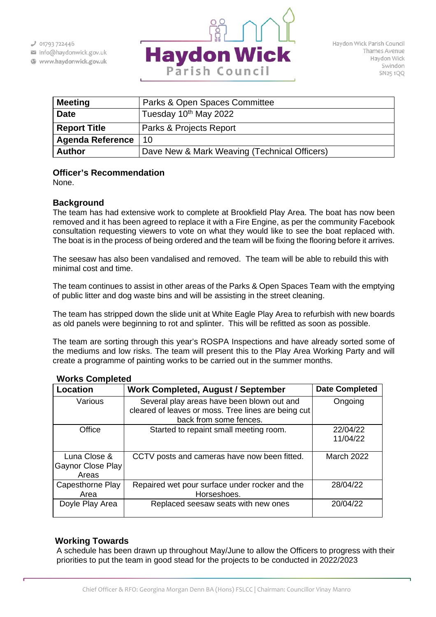

| <b>Meeting</b>          | Parks & Open Spaces Committee                |
|-------------------------|----------------------------------------------|
| <b>Date</b>             | Tuesday 10 <sup>th</sup> May 2022            |
| <b>Report Title</b>     | Parks & Projects Report                      |
| <b>Agenda Reference</b> | 10                                           |
| <b>Author</b>           | Dave New & Mark Weaving (Technical Officers) |

## **Officer's Recommendation**

None.

## **Background**

The team has had extensive work to complete at Brookfield Play Area. The boat has now been removed and it has been agreed to replace it with a Fire Engine, as per the community Facebook consultation requesting viewers to vote on what they would like to see the boat replaced with. The boat is in the process of being ordered and the team will be fixing the flooring before it arrives.

The seesaw has also been vandalised and removed. The team will be able to rebuild this with minimal cost and time.

The team continues to assist in other areas of the Parks & Open Spaces Team with the emptying of public litter and dog waste bins and will be assisting in the street cleaning.

The team has stripped down the slide unit at White Eagle Play Area to refurbish with new boards as old panels were beginning to rot and splinter. This will be refitted as soon as possible.

The team are sorting through this year's ROSPA Inspections and have already sorted some of the mediums and low risks. The team will present this to the Play Area Working Party and will create a programme of painting works to be carried out in the summer months.

| <b>Location</b>                            | <b>Work Completed, August / September</b>                                                                                   | <b>Date Completed</b> |
|--------------------------------------------|-----------------------------------------------------------------------------------------------------------------------------|-----------------------|
| Various                                    | Several play areas have been blown out and<br>cleared of leaves or moss. Tree lines are being cut<br>back from some fences. | Ongoing               |
| Office                                     | Started to repaint small meeting room.                                                                                      | 22/04/22<br>11/04/22  |
| Luna Close &<br>Gaynor Close Play<br>Areas | CCTV posts and cameras have now been fitted.                                                                                | <b>March 2022</b>     |
| Capesthorne Play<br>Area                   | Repaired wet pour surface under rocker and the<br>Horseshoes.                                                               | 28/04/22              |
| Doyle Play Area                            | Replaced seesaw seats with new ones                                                                                         | 20/04/22              |

## **Works Completed**

## **Working Towards**

A schedule has been drawn up throughout May/June to allow the Officers to progress with their priorities to put the team in good stead for the projects to be conducted in 2022/2023